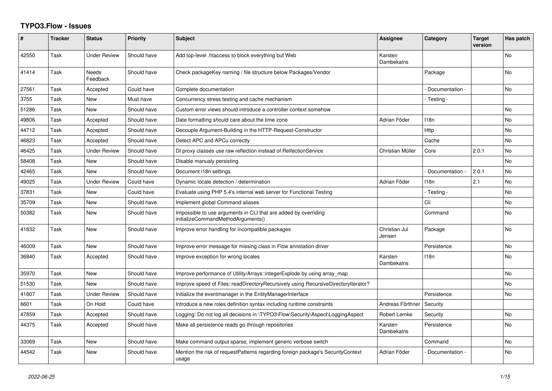## **TYPO3.Flow - Issues**

| ∦     | <b>Tracker</b> | <b>Status</b>       | <b>Priority</b> | <b>Subject</b>                                                                                        | Assignee                | Category         | <b>Target</b><br>version | Has patch |
|-------|----------------|---------------------|-----------------|-------------------------------------------------------------------------------------------------------|-------------------------|------------------|--------------------------|-----------|
| 42550 | Task           | <b>Under Review</b> | Should have     | Add top-level .htaccess to block everything but Web                                                   | Karsten<br>Dambekalns   |                  |                          | <b>No</b> |
| 41414 | Task           | Needs<br>Feedback   | Should have     | Check packageKey naming / file structure below Packages/Vendor                                        |                         | Package          |                          | No        |
| 27561 | Task           | Accepted            | Could have      | Complete documentation                                                                                |                         | Documentation -  |                          | No        |
| 3755  | Task           | <b>New</b>          | Must have       | Concurrency stress testing and cache mechanism                                                        |                         | - Testing -      |                          |           |
| 51286 | Task           | <b>New</b>          | Should have     | Custom error views should introduce a controller context somehow                                      |                         |                  |                          | No        |
| 49806 | Task           | Accepted            | Should have     | Date formatting should care about the time zone                                                       | Adrian Föder            | 118n             |                          | No        |
| 44712 | Task           | Accepted            | Should have     | Decouple Argument-Building in the HTTP-Request-Constructor                                            |                         | Http             |                          | No        |
| 46823 | Task           | Accepted            | Should have     | Detect APC and APCu correctly                                                                         |                         | Cache            |                          | No        |
| 46425 | Task           | <b>Under Review</b> | Should have     | DI proxy classes use raw reflection instead of RelfectionService                                      | Christian Müller        | Core             | 2.0.1                    | No        |
| 58408 | Task           | <b>New</b>          | Should have     | Disable manualy persisting                                                                            |                         |                  |                          | No        |
| 42465 | Task           | <b>New</b>          | Should have     | Document i18n settings                                                                                |                         | Documentation -  | 2.0.1                    | No        |
| 49025 | Task           | <b>Under Review</b> | Could have      | Dynamic locale detection / determination                                                              | Adrian Föder            | 118n             | 2.1                      | No        |
| 37831 | Task           | <b>New</b>          | Could have      | Evaluate using PHP 5.4's internal web server for Functional Testing                                   |                         | - Testing -      |                          | No        |
| 35709 | Task           | <b>New</b>          | Should have     | Implement global Command aliases                                                                      |                         | Cli              |                          | No        |
| 50382 | Task           | <b>New</b>          | Should have     | Impossible to use arguments in CLI that are added by overriding<br>initializeCommandMethodArguments() |                         | Command          |                          | No        |
| 41832 | Task           | <b>New</b>          | Should have     | Improve error handling for incompatible packages                                                      | Christian Jul<br>Jensen | Package          |                          | No        |
| 46009 | Task           | <b>New</b>          | Should have     | Improve error message for missing class in Flow annotation driver                                     |                         | Persistence      |                          | No        |
| 36840 | Task           | Accepted            | Should have     | Improve exception for wrong locales                                                                   | Karsten<br>Dambekalns   | 118 <sub>n</sub> |                          | No        |
| 35970 | Task           | <b>New</b>          | Should have     | Improve performance of Utility/Arrays::integerExplode by using array_map                              |                         |                  |                          | No        |
| 51530 | Task           | <b>New</b>          | Should have     | Improve speed of Files::readDirectoryRecursively using RecursiveDirectoryIterator?                    |                         |                  |                          | No        |
| 41807 | Task           | <b>Under Review</b> | Should have     | Initialize the eventmanager in the EntityManagerInterface                                             |                         | Persistence      |                          | No        |
| 6601  | Task           | On Hold             | Could have      | Introduce a new roles definition syntax including runtime constraints                                 | Andreas Förthner        | Security         |                          |           |
| 47859 | Task           | Accepted            | Should have     | Logging: Do not log all decisions in \TYPO3\Flow\Security\Aspect\LoggingAspect                        | Robert Lemke            | Security         |                          | No        |
| 44375 | Task           | Accepted            | Should have     | Make all persistence reads go through repositories                                                    | Karsten<br>Dambekalns   | Persistence      |                          | No        |
| 33069 | Task           | <b>New</b>          | Should have     | Make command output sparse, implement generic verbose switch                                          |                         | Command          |                          | No        |
| 44542 | Task           | <b>New</b>          | Should have     | Mention the risk of requestPatterns regarding foreign package's SecurityContext<br>usage              | Adrian Föder            | Documentation -  |                          | No        |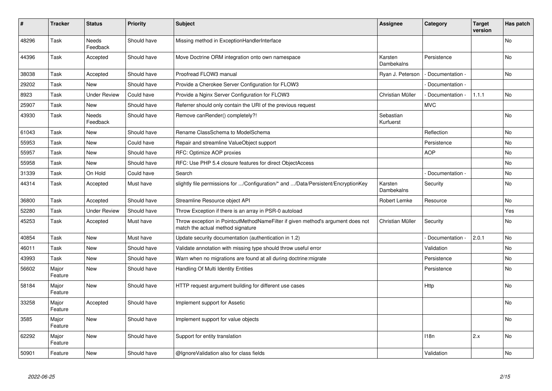| #     | <b>Tracker</b>   | <b>Status</b>            | <b>Priority</b> | <b>Subject</b>                                                                                                       | <b>Assignee</b>        | Category         | <b>Target</b><br>version | Has patch      |
|-------|------------------|--------------------------|-----------------|----------------------------------------------------------------------------------------------------------------------|------------------------|------------------|--------------------------|----------------|
| 48296 | Task             | <b>Needs</b><br>Feedback | Should have     | Missing method in ExceptionHandlerInterface                                                                          |                        |                  |                          | <b>No</b>      |
| 44396 | Task             | Accepted                 | Should have     | Move Doctrine ORM integration onto own namespace                                                                     | Karsten<br>Dambekalns  | Persistence      |                          | <b>No</b>      |
| 38038 | Task             | Accepted                 | Should have     | Proofread FLOW3 manual                                                                                               | Ryan J. Peterson       | Documentation -  |                          | <b>No</b>      |
| 29202 | Task             | <b>New</b>               | Should have     | Provide a Cherokee Server Configuration for FLOW3                                                                    |                        | Documentation -  |                          |                |
| 8923  | Task             | <b>Under Review</b>      | Could have      | Provide a Nginx Server Configuration for FLOW3                                                                       | Christian Müller       | Documentation    | 1.1.1                    | <b>No</b>      |
| 25907 | Task             | <b>New</b>               | Should have     | Referrer should only contain the URI of the previous request                                                         |                        | <b>MVC</b>       |                          |                |
| 43930 | Task             | Needs<br>Feedback        | Should have     | Remove canRender() completely?!                                                                                      | Sebastian<br>Kurfuerst |                  |                          | No             |
| 61043 | Task             | <b>New</b>               | Should have     | Rename ClassSchema to ModelSchema                                                                                    |                        | Reflection       |                          | No             |
| 55953 | Task             | New                      | Could have      | Repair and streamline ValueObject support                                                                            |                        | Persistence      |                          | N <sub>o</sub> |
| 55957 | Task             | <b>New</b>               | Should have     | RFC: Optimize AOP proxies                                                                                            |                        | <b>AOP</b>       |                          | No             |
| 55958 | Task             | <b>New</b>               | Should have     | RFC: Use PHP 5.4 closure features for direct ObjectAccess                                                            |                        |                  |                          | No.            |
| 31339 | Task             | On Hold                  | Could have      | Search                                                                                                               |                        | Documentation -  |                          | No             |
| 44314 | Task             | Accepted                 | Must have       | slightly file permissions for /Configuration/* and /Data/Persistent/EncryptionKey                                    | Karsten<br>Dambekalns  | Security         |                          | No.            |
| 36800 | Task             | Accepted                 | Should have     | Streamline Resource object API                                                                                       | Robert Lemke           | Resource         |                          | N <sub>o</sub> |
| 52280 | Task             | <b>Under Review</b>      | Should have     | Throw Exception if there is an array in PSR-0 autoload                                                               |                        |                  |                          | Yes            |
| 45253 | Task             | Accepted                 | Must have       | Throw exception in PointcutMethodNameFilter if given method's argument does not<br>match the actual method signature | Christian Müller       | Security         |                          | No             |
| 40854 | Task             | <b>New</b>               | Must have       | Update security documentation (authentication in 1.2)                                                                |                        | Documentation    | 2.0.1                    | <b>No</b>      |
| 46011 | Task             | <b>New</b>               | Should have     | Validate annotation with missing type should throw useful error                                                      |                        | Validation       |                          | <b>No</b>      |
| 43993 | Task             | <b>New</b>               | Should have     | Warn when no migrations are found at all during doctrine: migrate                                                    |                        | Persistence      |                          | <b>No</b>      |
| 56602 | Major<br>Feature | <b>New</b>               | Should have     | Handling Of Multi Identity Entities                                                                                  |                        | Persistence      |                          | No             |
| 58184 | Major<br>Feature | <b>New</b>               | Should have     | HTTP request argument building for different use cases                                                               |                        | <b>Http</b>      |                          | No             |
| 33258 | Major<br>Feature | Accepted                 | Should have     | Implement support for Assetic                                                                                        |                        |                  |                          | No             |
| 3585  | Major<br>Feature | <b>New</b>               | Should have     | Implement support for value objects                                                                                  |                        |                  |                          | No             |
| 62292 | Major<br>Feature | <b>New</b>               | Should have     | Support for entity translation                                                                                       |                        | 118 <sub>n</sub> | 2.x                      | <b>No</b>      |
| 50901 | Feature          | <b>New</b>               | Should have     | @IgnoreValidation also for class fields                                                                              |                        | Validation       |                          | No             |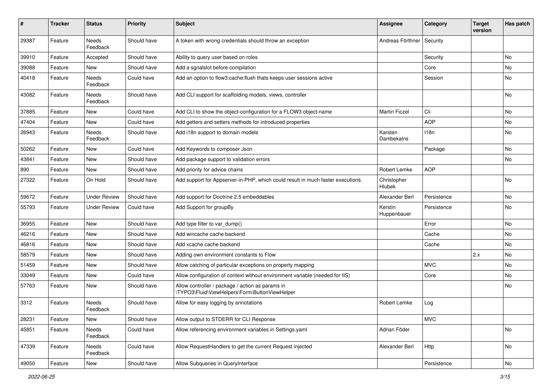| #     | <b>Tracker</b> | <b>Status</b>       | <b>Priority</b> | Subject                                                                                            | Assignee               | Category    | <b>Target</b><br>version | Has patch |
|-------|----------------|---------------------|-----------------|----------------------------------------------------------------------------------------------------|------------------------|-------------|--------------------------|-----------|
| 29387 | Feature        | Needs<br>Feedback   | Should have     | A token with wrong credentials should throw an exception                                           | Andreas Förthner       | Security    |                          |           |
| 39910 | Feature        | Accepted            | Should have     | Ability to query user based on roles                                                               |                        | Security    |                          | No        |
| 39088 | Feature        | <b>New</b>          | Should have     | Add a sgnalslot before compilation                                                                 |                        | Core        |                          | No        |
| 40418 | Feature        | Needs<br>Feedback   | Could have      | Add an option to flow3:cache: flush thats keeps user sessions active                               |                        | Session     |                          | No        |
| 43082 | Feature        | Needs<br>Feedback   | Should have     | Add CLI support for scaffolding models, views, controller                                          |                        |             |                          | No        |
| 37885 | Feature        | New                 | Could have      | Add CLI to show the object-configuration for a FLOW3 object-name                                   | Martin Ficzel          | Cli         |                          | No        |
| 47404 | Feature        | New                 | Could have      | Add getters and setters methods for introduced properties                                          |                        | <b>AOP</b>  |                          | No        |
| 26943 | Feature        | Needs<br>Feedback   | Should have     | Add i18n support to domain models                                                                  | Karsten<br>Dambekalns  | 118n        |                          | No        |
| 50262 | Feature        | New                 | Could have      | Add Keywords to composer Json                                                                      |                        | Package     |                          | No.       |
| 43841 | Feature        | New                 | Should have     | Add package support to validation errors                                                           |                        |             |                          | No.       |
| 890   | Feature        | New                 | Should have     | Add priority for advice chains                                                                     | Robert Lemke           | <b>AOP</b>  |                          |           |
| 27322 | Feature        | On Hold             | Should have     | Add support for Appserver-in-PHP, which could result in much faster executions.                    | Christopher<br>Hlubek  |             |                          | <b>No</b> |
| 59672 | Feature        | <b>Under Review</b> | Should have     | Add support for Doctrine 2.5 embeddables                                                           | Alexander Berl         | Persistence |                          | No        |
| 55793 | Feature        | <b>Under Review</b> | Could have      | Add Support for groupBy                                                                            | Kerstin<br>Huppenbauer | Persistence |                          | No        |
| 36955 | Feature        | <b>New</b>          | Should have     | Add type filter to var dump()                                                                      |                        | Error       |                          | No.       |
| 46216 | Feature        | New                 | Should have     | Add wincache cache backend                                                                         |                        | Cache       |                          | No        |
| 46816 | Feature        | New                 | Should have     | Add xcache cache backend                                                                           |                        | Cache       |                          | No        |
| 58579 | Feature        | <b>New</b>          | Should have     | Adding own environment constants to Flow                                                           |                        |             | 2.x                      | No        |
| 51459 | Feature        | New                 | Should have     | Allow catching of particular exceptions on property mapping                                        |                        | <b>MVC</b>  |                          | No        |
| 33049 | Feature        | New                 | Could have      | Allow configuration of context without environment variable (needed for IIS)                       |                        | Core        |                          | No        |
| 57763 | Feature        | New                 | Should have     | Allow controller / package / action as params in<br>\TYPO3\Fluid\ViewHelpers\Form\ButtonViewHelper |                        |             |                          | No        |
| 3312  | Feature        | Needs<br>Feedback   | Should have     | Allow for easy logging by annotations                                                              | Robert Lemke           | Log         |                          |           |
| 28231 | Feature        | New                 | Should have     | Allow output to STDERR for CLI Response                                                            |                        | <b>MVC</b>  |                          |           |
| 45851 | Feature        | Needs<br>Feedback   | Could have      | Allow referencing environment variables in Settings.yaml                                           | Adrian Föder           |             |                          | No        |
| 47339 | Feature        | Needs<br>Feedback   | Could have      | Allow RequestHandlers to get the current Request injected                                          | Alexander Berl         | Http        |                          | No        |
| 49050 | Feature        | New                 | Should have     | Allow Subqueries in QueryInterface                                                                 |                        | Persistence |                          | No        |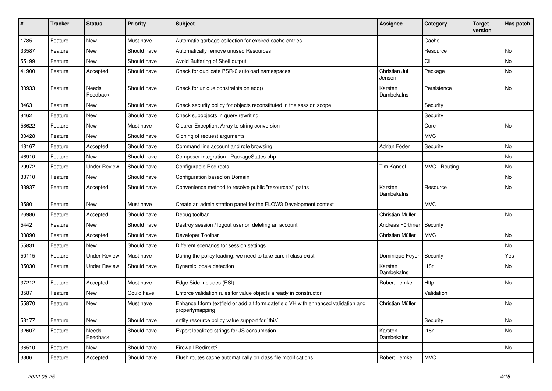| #     | <b>Tracker</b> | <b>Status</b>            | <b>Priority</b> | <b>Subject</b>                                                                                        | <b>Assignee</b>         | Category      | <b>Target</b><br>version | Has patch |
|-------|----------------|--------------------------|-----------------|-------------------------------------------------------------------------------------------------------|-------------------------|---------------|--------------------------|-----------|
| 1785  | Feature        | <b>New</b>               | Must have       | Automatic garbage collection for expired cache entries                                                |                         | Cache         |                          |           |
| 33587 | Feature        | New                      | Should have     | Automatically remove unused Resources                                                                 |                         | Resource      |                          | No        |
| 55199 | Feature        | New                      | Should have     | Avoid Buffering of Shell output                                                                       |                         | Cli           |                          | No        |
| 41900 | Feature        | Accepted                 | Should have     | Check for duplicate PSR-0 autoload namespaces                                                         | Christian Jul<br>Jensen | Package       |                          | No        |
| 30933 | Feature        | <b>Needs</b><br>Feedback | Should have     | Check for unique constraints on add()                                                                 | Karsten<br>Dambekalns   | Persistence   |                          | No        |
| 8463  | Feature        | New                      | Should have     | Check security policy for objects reconstituted in the session scope                                  |                         | Security      |                          |           |
| 8462  | Feature        | New                      | Should have     | Check subobjects in query rewriting                                                                   |                         | Security      |                          |           |
| 58622 | Feature        | New                      | Must have       | Clearer Exception: Array to string conversion                                                         |                         | Core          |                          | No        |
| 30428 | Feature        | New                      | Should have     | Cloning of request arguments                                                                          |                         | <b>MVC</b>    |                          |           |
| 48167 | Feature        | Accepted                 | Should have     | Command line account and role browsing                                                                | Adrian Föder            | Security      |                          | No        |
| 46910 | Feature        | New                      | Should have     | Composer integration - PackageStates.php                                                              |                         |               |                          | No        |
| 29972 | Feature        | <b>Under Review</b>      | Should have     | <b>Configurable Redirects</b>                                                                         | <b>Tim Kandel</b>       | MVC - Routing |                          | No.       |
| 33710 | Feature        | New                      | Should have     | Configuration based on Domain                                                                         |                         |               |                          | No        |
| 33937 | Feature        | Accepted                 | Should have     | Convenience method to resolve public "resource://" paths                                              | Karsten<br>Dambekalns   | Resource      |                          | No        |
| 3580  | Feature        | <b>New</b>               | Must have       | Create an administration panel for the FLOW3 Development context                                      |                         | <b>MVC</b>    |                          |           |
| 26986 | Feature        | Accepted                 | Should have     | Debug toolbar                                                                                         | Christian Müller        |               |                          | No        |
| 5442  | Feature        | New                      | Should have     | Destroy session / logout user on deleting an account                                                  | Andreas Förthner        | Security      |                          |           |
| 30890 | Feature        | Accepted                 | Should have     | Developer Toolbar                                                                                     | Christian Müller        | <b>MVC</b>    |                          | No        |
| 55831 | Feature        | New                      | Should have     | Different scenarios for session settings                                                              |                         |               |                          | No        |
| 50115 | Feature        | <b>Under Review</b>      | Must have       | During the policy loading, we need to take care if class exist                                        | Dominique Feyer         | Security      |                          | Yes       |
| 35030 | Feature        | <b>Under Review</b>      | Should have     | Dynamic locale detection                                                                              | Karsten<br>Dambekalns   | 118n          |                          | No        |
| 37212 | Feature        | Accepted                 | Must have       | Edge Side Includes (ESI)                                                                              | Robert Lemke            | Http          |                          | No        |
| 3587  | Feature        | New                      | Could have      | Enforce validation rules for value objects already in constructor                                     |                         | Validation    |                          |           |
| 55870 | Feature        | New                      | Must have       | Enhance f:form.textfield or add a f:form.datefield VH with enhanced validation and<br>propertymapping | Christian Müller        |               |                          | No        |
| 53177 | Feature        | New                      | Should have     | entity resource policy value support for `this`                                                       |                         | Security      |                          | No        |
| 32607 | Feature        | Needs<br>Feedback        | Should have     | Export localized strings for JS consumption                                                           | Karsten<br>Dambekalns   | 118n          |                          | No        |
| 36510 | Feature        | New                      | Should have     | Firewall Redirect?                                                                                    |                         |               |                          | No        |
| 3306  | Feature        | Accepted                 | Should have     | Flush routes cache automatically on class file modifications                                          | Robert Lemke            | <b>MVC</b>    |                          |           |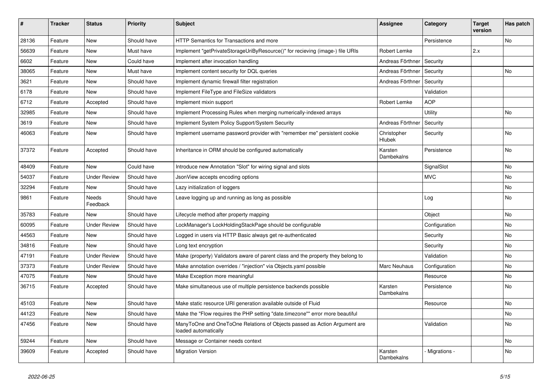| #     | <b>Tracker</b> | <b>Status</b>       | <b>Priority</b> | <b>Subject</b>                                                                                    | <b>Assignee</b>       | Category       | <b>Target</b><br>version | Has patch |
|-------|----------------|---------------------|-----------------|---------------------------------------------------------------------------------------------------|-----------------------|----------------|--------------------------|-----------|
| 28136 | Feature        | <b>New</b>          | Should have     | HTTP Semantics for Transactions and more                                                          |                       | Persistence    |                          | <b>No</b> |
| 56639 | Feature        | <b>New</b>          | Must have       | Implement "getPrivateStorageUriByResource()" for recieving (image-) file URIs                     | Robert Lemke          |                | 2.x                      |           |
| 6602  | Feature        | <b>New</b>          | Could have      | Implement after invocation handling                                                               | Andreas Förthner      | Security       |                          |           |
| 38065 | Feature        | New                 | Must have       | Implement content security for DQL queries                                                        | Andreas Förthner      | Security       |                          | <b>No</b> |
| 3621  | Feature        | <b>New</b>          | Should have     | Implement dynamic firewall filter registration                                                    | Andreas Förthner      | Security       |                          |           |
| 6178  | Feature        | <b>New</b>          | Should have     | Implement FileType and FileSize validators                                                        |                       | Validation     |                          |           |
| 6712  | Feature        | Accepted            | Should have     | Implement mixin support                                                                           | Robert Lemke          | <b>AOP</b>     |                          |           |
| 32985 | Feature        | <b>New</b>          | Should have     | Implement Processing Rules when merging numerically-indexed arrays                                |                       | Utility        |                          | <b>No</b> |
| 3619  | Feature        | <b>New</b>          | Should have     | Implement System Policy Support/System Security                                                   | Andreas Förthner      | Security       |                          |           |
| 46063 | Feature        | New                 | Should have     | Implement username password provider with "remember me" persistent cookie                         | Christopher<br>Hlubek | Security       |                          | <b>No</b> |
| 37372 | Feature        | Accepted            | Should have     | Inheritance in ORM should be configured automatically                                             | Karsten<br>Dambekalns | Persistence    |                          | No        |
| 48409 | Feature        | <b>New</b>          | Could have      | Introduce new Annotation "Slot" for wiring signal and slots                                       |                       | SignalSlot     |                          | <b>No</b> |
| 54037 | Feature        | <b>Under Review</b> | Should have     | JsonView accepts encoding options                                                                 |                       | <b>MVC</b>     |                          | <b>No</b> |
| 32294 | Feature        | <b>New</b>          | Should have     | Lazy initialization of loggers                                                                    |                       |                |                          | <b>No</b> |
| 9861  | Feature        | Needs<br>Feedback   | Should have     | Leave logging up and running as long as possible                                                  |                       | Log            |                          | <b>No</b> |
| 35783 | Feature        | <b>New</b>          | Should have     | Lifecycle method after property mapping                                                           |                       | Object         |                          | <b>No</b> |
| 60095 | Feature        | <b>Under Review</b> | Should have     | LockManager's LockHoldingStackPage should be configurable                                         |                       | Configuration  |                          | No        |
| 44563 | Feature        | <b>New</b>          | Should have     | Logged in users via HTTP Basic always get re-authenticated                                        |                       | Security       |                          | No        |
| 34816 | Feature        | <b>New</b>          | Should have     | Long text encryption                                                                              |                       | Security       |                          | <b>No</b> |
| 47191 | Feature        | <b>Under Review</b> | Should have     | Make (property) Validators aware of parent class and the property they belong to                  |                       | Validation     |                          | No        |
| 37373 | Feature        | <b>Under Review</b> | Should have     | Make annotation overrides / "injection" via Objects.yaml possible                                 | Marc Neuhaus          | Configuration  |                          | <b>No</b> |
| 47075 | Feature        | New                 | Should have     | Make Exception more meaningful                                                                    |                       | Resource       |                          | No        |
| 36715 | Feature        | Accepted            | Should have     | Make simultaneous use of multiple persistence backends possible                                   | Karsten<br>Dambekalns | Persistence    |                          | No        |
| 45103 | Feature        | New                 | Should have     | Make static resource URI generation available outside of Fluid                                    |                       | Resource       |                          | No        |
| 44123 | Feature        | <b>New</b>          | Should have     | Make the "Flow requires the PHP setting "date.timezone"" error more beautiful                     |                       |                |                          | <b>No</b> |
| 47456 | Feature        | <b>New</b>          | Should have     | ManyToOne and OneToOne Relations of Objects passed as Action Argument are<br>loaded automatically |                       | Validation     |                          | <b>No</b> |
| 59244 | Feature        | New                 | Should have     | Message or Container needs context                                                                |                       |                |                          | <b>No</b> |
| 39609 | Feature        | Accepted            | Should have     | <b>Migration Version</b>                                                                          | Karsten<br>Dambekalns | - Migrations - |                          | <b>No</b> |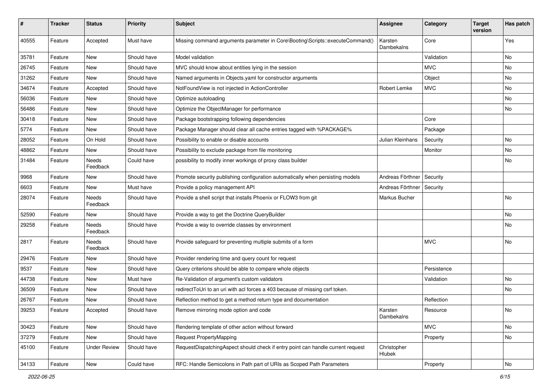| #     | <b>Tracker</b> | <b>Status</b>            | <b>Priority</b> | <b>Subject</b>                                                                  | Assignee              | Category    | <b>Target</b><br>version | Has patch |
|-------|----------------|--------------------------|-----------------|---------------------------------------------------------------------------------|-----------------------|-------------|--------------------------|-----------|
| 40555 | Feature        | Accepted                 | Must have       | Missing command arguments parameter in Core\Booting\Scripts::executeCommand()   | Karsten<br>Dambekalns | Core        |                          | Yes       |
| 35781 | Feature        | New                      | Should have     | Model validation                                                                |                       | Validation  |                          | No        |
| 26745 | Feature        | <b>New</b>               | Should have     | MVC should know about entities lying in the session                             |                       | <b>MVC</b>  |                          | No        |
| 31262 | Feature        | New                      | Should have     | Named arguments in Objects.yaml for constructor arguments                       |                       | Object      |                          | No        |
| 34674 | Feature        | Accepted                 | Should have     | NotFoundView is not injected in ActionController                                | Robert Lemke          | <b>MVC</b>  |                          | No        |
| 56036 | Feature        | New                      | Should have     | Optimize autoloading                                                            |                       |             |                          | No        |
| 56486 | Feature        | New                      | Should have     | Optimize the ObjectManager for performance                                      |                       |             |                          | No        |
| 30418 | Feature        | <b>New</b>               | Should have     | Package bootstrapping following dependencies                                    |                       | Core        |                          |           |
| 5774  | Feature        | New                      | Should have     | Package Manager should clear all cache entries tagged with %PACKAGE%            |                       | Package     |                          |           |
| 28052 | Feature        | On Hold                  | Should have     | Possibility to enable or disable accounts                                       | Julian Kleinhans      | Security    |                          | No        |
| 48862 | Feature        | New                      | Should have     | Possibility to exclude package from file monitoring                             |                       | Monitor     |                          | No        |
| 31484 | Feature        | Needs<br>Feedback        | Could have      | possibility to modify inner workings of proxy class builder                     |                       |             |                          | No        |
| 9968  | Feature        | New                      | Should have     | Promote security publishing configuration automatically when persisting models  | Andreas Förthner      | Security    |                          |           |
| 6603  | Feature        | New                      | Must have       | Provide a policy management API                                                 | Andreas Förthner      | Security    |                          |           |
| 28074 | Feature        | <b>Needs</b><br>Feedback | Should have     | Provide a shell script that installs Phoenix or FLOW3 from git                  | Markus Bucher         |             |                          | No        |
| 52590 | Feature        | New                      | Should have     | Provide a way to get the Doctrine QueryBuilder                                  |                       |             |                          | No        |
| 29258 | Feature        | Needs<br>Feedback        | Should have     | Provide a way to override classes by environment                                |                       |             |                          | No        |
| 2817  | Feature        | <b>Needs</b><br>Feedback | Should have     | Provide safeguard for preventing multiple submits of a form                     |                       | <b>MVC</b>  |                          | No        |
| 29476 | Feature        | New                      | Should have     | Provider rendering time and query count for request                             |                       |             |                          |           |
| 9537  | Feature        | New                      | Should have     | Query criterions should be able to compare whole objects                        |                       | Persistence |                          |           |
| 44738 | Feature        | New                      | Must have       | Re-Validation of argument's custom validators                                   |                       | Validation  |                          | No        |
| 36509 | Feature        | New                      | Should have     | redirectToUri to an uri with acl forces a 403 because of missing csrf token.    |                       |             |                          | No        |
| 26767 | Feature        | New                      | Should have     | Reflection method to get a method return type and documentation                 |                       | Reflection  |                          |           |
| 39253 | Feature        | Accepted                 | Should have     | Remove mirroring mode option and code                                           | Karsten<br>Dambekalns | Resource    |                          | No        |
| 30423 | Feature        | <b>New</b>               | Should have     | Rendering template of other action without forward                              |                       | <b>MVC</b>  |                          | No        |
| 37279 | Feature        | New                      | Should have     | Request PropertyMapping                                                         |                       | Property    |                          | No        |
| 45100 | Feature        | <b>Under Review</b>      | Should have     | RequestDispatchingAspect should check if entry point can handle current request | Christopher<br>Hlubek |             |                          |           |
| 34133 | Feature        | New                      | Could have      | RFC: Handle Semicolons in Path part of URIs as Scoped Path Parameters           |                       | Property    |                          | No        |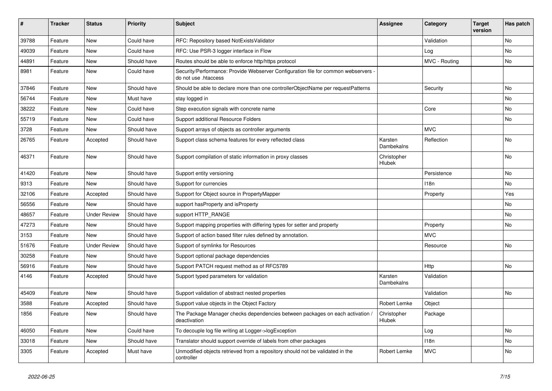| #     | <b>Tracker</b> | <b>Status</b>       | <b>Priority</b> | <b>Subject</b>                                                                                             | Assignee              | Category      | <b>Target</b><br>version | Has patch |
|-------|----------------|---------------------|-----------------|------------------------------------------------------------------------------------------------------------|-----------------------|---------------|--------------------------|-----------|
| 39788 | Feature        | <b>New</b>          | Could have      | RFC: Repository based NotExistsValidator                                                                   |                       | Validation    |                          | No        |
| 49039 | Feature        | New                 | Could have      | RFC: Use PSR-3 logger interface in Flow                                                                    |                       | Log           |                          | No        |
| 44891 | Feature        | New                 | Should have     | Routes should be able to enforce http/https protocol                                                       |                       | MVC - Routing |                          | No        |
| 8981  | Feature        | New                 | Could have      | Security/Performance: Provide Webserver Configuration file for common webservers -<br>do not use .htaccess |                       |               |                          |           |
| 37846 | Feature        | New                 | Should have     | Should be able to declare more than one controllerObjectName per requestPatterns                           |                       | Security      |                          | No        |
| 56744 | Feature        | New                 | Must have       | stay logged in                                                                                             |                       |               |                          | No        |
| 38222 | Feature        | New                 | Could have      | Step execution signals with concrete name                                                                  |                       | Core          |                          | No        |
| 55719 | Feature        | <b>New</b>          | Could have      | Support additional Resource Folders                                                                        |                       |               |                          | No        |
| 3728  | Feature        | New                 | Should have     | Support arrays of objects as controller arguments                                                          |                       | <b>MVC</b>    |                          |           |
| 26765 | Feature        | Accepted            | Should have     | Support class schema features for every reflected class                                                    | Karsten<br>Dambekalns | Reflection    |                          | No        |
| 46371 | Feature        | <b>New</b>          | Should have     | Support compilation of static information in proxy classes                                                 | Christopher<br>Hlubek |               |                          | No        |
| 41420 | Feature        | New                 | Should have     | Support entity versioning                                                                                  |                       | Persistence   |                          | No        |
| 9313  | Feature        | New                 | Should have     | Support for currencies                                                                                     |                       | 118n          |                          | No        |
| 32106 | Feature        | Accepted            | Should have     | Support for Object source in PropertyMapper                                                                |                       | Property      |                          | Yes       |
| 56556 | Feature        | <b>New</b>          | Should have     | support has Property and is Property                                                                       |                       |               |                          | No        |
| 48657 | Feature        | <b>Under Review</b> | Should have     | support HTTP_RANGE                                                                                         |                       |               |                          | No        |
| 47273 | Feature        | New                 | Should have     | Support mapping properties with differing types for setter and property                                    |                       | Property      |                          | No        |
| 3153  | Feature        | New                 | Should have     | Support of action based filter rules defined by annotation.                                                |                       | <b>MVC</b>    |                          |           |
| 51676 | Feature        | <b>Under Review</b> | Should have     | Support of symlinks for Resources                                                                          |                       | Resource      |                          | No        |
| 30258 | Feature        | New                 | Should have     | Support optional package dependencies                                                                      |                       |               |                          |           |
| 56916 | Feature        | New                 | Should have     | Support PATCH request method as of RFC5789                                                                 |                       | Http          |                          | No        |
| 4146  | Feature        | Accepted            | Should have     | Support typed parameters for validation                                                                    | Karsten<br>Dambekalns | Validation    |                          |           |
| 45409 | Feature        | New                 | Should have     | Support validation of abstract nested properties                                                           |                       | Validation    |                          | No        |
| 3588  | Feature        | Accepted            | Should have     | Support value objects in the Object Factory                                                                | Robert Lemke          | Object        |                          |           |
| 1856  | Feature        | New                 | Should have     | The Package Manager checks dependencies between packages on each activation /<br>deactivation              | Christopher<br>Hlubek | Package       |                          |           |
| 46050 | Feature        | New                 | Could have      | To decouple log file writing at Logger->logException                                                       |                       | Log           |                          | No        |
| 33018 | Feature        | New                 | Should have     | Translator should support override of labels from other packages                                           |                       | 118n          |                          | No        |
| 3305  | Feature        | Accepted            | Must have       | Unmodified objects retrieved from a repository should not be validated in the<br>controller                | Robert Lemke          | <b>MVC</b>    |                          | No        |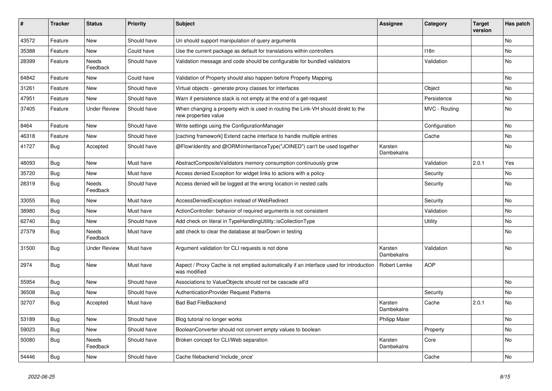| $\vert$ # | <b>Tracker</b> | <b>Status</b>            | <b>Priority</b> | <b>Subject</b>                                                                                            | Assignee              | Category         | <b>Target</b><br>version | Has patch |
|-----------|----------------|--------------------------|-----------------|-----------------------------------------------------------------------------------------------------------|-----------------------|------------------|--------------------------|-----------|
| 43572     | Feature        | <b>New</b>               | Should have     | Uri should support manipulation of query arguments                                                        |                       |                  |                          | <b>No</b> |
| 35388     | Feature        | <b>New</b>               | Could have      | Use the current package as default for translations within controllers                                    |                       | 118 <sub>n</sub> |                          | <b>No</b> |
| 28399     | Feature        | <b>Needs</b><br>Feedback | Should have     | Validation message and code should be configurable for bundled validators                                 |                       | Validation       |                          | <b>No</b> |
| 64842     | Feature        | <b>New</b>               | Could have      | Validation of Property should also happen before Property Mapping.                                        |                       |                  |                          | <b>No</b> |
| 31261     | Feature        | New                      | Should have     | Virtual objects - generate proxy classes for interfaces                                                   |                       | Object           |                          | No        |
| 47951     | Feature        | <b>New</b>               | Should have     | Warn if persistence stack is not empty at the end of a get-request                                        |                       | Persistence      |                          | No        |
| 37405     | Feature        | <b>Under Review</b>      | Should have     | When changing a property wich is used in routing the Link-VH should direkt to the<br>new properties value |                       | MVC - Routing    |                          | <b>No</b> |
| 8464      | Feature        | New                      | Should have     | Write settings using the ConfigurationManager                                                             |                       | Configuration    |                          | No        |
| 46318     | Feature        | <b>New</b>               | Should have     | [caching framework] Extend cache interface to handle multiple entries                                     |                       | Cache            |                          | No        |
| 41727     | Bug            | Accepted                 | Should have     | @Flow\Identity and @ORM\InheritanceType("JOINED") can't be used together                                  | Karsten<br>Dambekalns |                  |                          | No        |
| 48093     | Bug            | <b>New</b>               | Must have       | AbstractCompositeValidators memory consumption continuously grow                                          |                       | Validation       | 2.0.1                    | Yes       |
| 35720     | <b>Bug</b>     | <b>New</b>               | Must have       | Access denied Exception for widget links to actions with a policy                                         |                       | Security         |                          | <b>No</b> |
| 28319     | Bug            | Needs<br>Feedback        | Should have     | Access denied will be logged at the wrong location in nested calls                                        |                       | Security         |                          | No        |
| 33055     | <b>Bug</b>     | <b>New</b>               | Must have       | AccessDeniedException instead of WebRedirect                                                              |                       | Security         |                          | <b>No</b> |
| 38980     | Bug            | <b>New</b>               | Must have       | ActionController: behavior of required arguments is not consistent                                        |                       | Validation       |                          | <b>No</b> |
| 62740     | Bug            | <b>New</b>               | Should have     | Add check on literal in TypeHandlingUtility::isCollectionType                                             |                       | Utility          |                          | No        |
| 27379     | <b>Bug</b>     | <b>Needs</b><br>Feedback | Must have       | add check to clear the database at tearDown in testing                                                    |                       |                  |                          | <b>No</b> |
| 31500     | Bug            | <b>Under Review</b>      | Must have       | Argument validation for CLI requests is not done                                                          | Karsten<br>Dambekalns | Validation       |                          | No        |
| 2974      | Bug            | New                      | Must have       | Aspect / Proxy Cache is not emptied automatically if an interface used for introduction<br>was modified   | Robert Lemke          | <b>AOP</b>       |                          |           |
| 55954     | Bug            | <b>New</b>               | Should have     | Associations to ValueObjects should not be cascade all'd                                                  |                       |                  |                          | No        |
| 36508     | Bug            | <b>New</b>               | Should have     | <b>AuthenticationProvider Request Patterns</b>                                                            |                       | Security         |                          | No        |
| 32707     | <b>Bug</b>     | Accepted                 | Must have       | <b>Bad Bad FileBackend</b>                                                                                | Karsten<br>Dambekalns | Cache            | 2.0.1                    | <b>No</b> |
| 53189     | Bug            | <b>New</b>               | Should have     | Blog tutorial no longer works                                                                             | <b>Philipp Maier</b>  |                  |                          | <b>No</b> |
| 59023     | <b>Bug</b>     | <b>New</b>               | Should have     | BooleanConverter should not convert empty values to boolean                                               |                       | Property         |                          | No        |
| 50080     | <b>Bug</b>     | Needs<br>Feedback        | Should have     | Broken concept for CLI/Web separation                                                                     | Karsten<br>Dambekalns | Core             |                          | No        |
| 54446     | Bug            | New                      | Should have     | Cache filebackend 'include once'                                                                          |                       | Cache            |                          | <b>No</b> |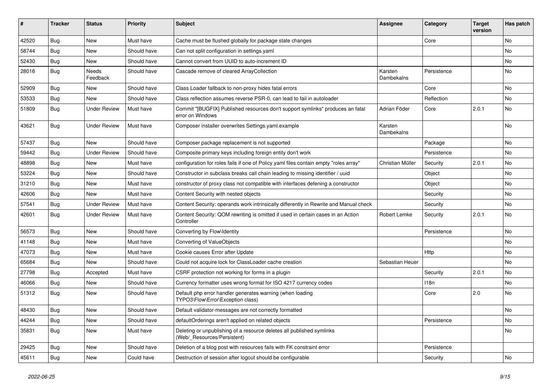| #     | <b>Tracker</b> | <b>Status</b>       | <b>Priority</b> | <b>Subject</b>                                                                                       | <b>Assignee</b>       | Category    | <b>Target</b><br>version | Has patch |
|-------|----------------|---------------------|-----------------|------------------------------------------------------------------------------------------------------|-----------------------|-------------|--------------------------|-----------|
| 42520 | Bug            | New                 | Must have       | Cache must be flushed globally for package state changes                                             |                       | Core        |                          | No        |
| 58744 | <b>Bug</b>     | New                 | Should have     | Can not split configuration in settings.yaml                                                         |                       |             |                          | No        |
| 52430 | Bug            | New                 | Should have     | Cannot convert from UUID to auto-increment ID                                                        |                       |             |                          | No        |
| 28016 | <b>Bug</b>     | Needs<br>Feedback   | Should have     | Cascade remove of cleared ArrayCollection                                                            | Karsten<br>Dambekalns | Persistence |                          | No        |
| 52909 | Bug            | <b>New</b>          | Should have     | Class Loader fallback to non-proxy hides fatal errors                                                |                       | Core        |                          | No.       |
| 53533 | <b>Bug</b>     | New                 | Should have     | Class reflection assumes reverse PSR-0, can lead to fail in autoloader                               |                       | Reflection  |                          | No        |
| 51809 | <b>Bug</b>     | <b>Under Review</b> | Must have       | Commit "[BUGFIX] Published resources don't support symlinks" produces an fatal<br>error on Windows   | Adrian Föder          | Core        | 2.0.1                    | <b>No</b> |
| 43621 | Bug            | <b>Under Review</b> | Must have       | Composer installer overwrites Settings.yaml.example                                                  | Karsten<br>Dambekalns |             |                          | No        |
| 57437 | <b>Bug</b>     | <b>New</b>          | Should have     | Composer package replacement is not supported                                                        |                       | Package     |                          | No        |
| 59442 | Bug            | <b>Under Review</b> | Should have     | Composite primary keys including foreign entity don't work                                           |                       | Persistence |                          | No        |
| 48898 | <b>Bug</b>     | New                 | Must have       | configuration for roles fails if one of Policy yaml files contain empty "roles array"                | Christian Müller      | Security    | 2.0.1                    | <b>No</b> |
| 53224 | Bug            | New                 | Should have     | Constructor in subclass breaks call chain leading to missing identifier / uuid                       |                       | Object      |                          | No        |
| 31210 | <b>Bug</b>     | New                 | Must have       | constructor of proxy class not compatible with interfaces defening a constructor                     |                       | Object      |                          | No        |
| 42606 | Bug            | New                 | Must have       | Content Security with nested objects                                                                 |                       | Security    |                          | No        |
| 57541 | <b>Bug</b>     | <b>Under Review</b> | Must have       | Content Security: operands work intrinsically differently in Rewrite and Manual check                |                       | Security    |                          | No        |
| 42601 | Bug            | Under Review        | Must have       | Content Security: QOM rewriting is omitted if used in certain cases in an Action<br>Controller       | Robert Lemke          | Security    | 2.0.1                    | No        |
| 56573 | <b>Bug</b>     | New                 | Should have     | Converting by Flow\Identity                                                                          |                       | Persistence |                          | No        |
| 41148 | Bug            | <b>New</b>          | Must have       | Converting of ValueObjects                                                                           |                       |             |                          | No.       |
| 47073 | Bug            | New                 | Must have       | Cookie causes Error after Update                                                                     |                       | Http        |                          | No        |
| 65684 | Bug            | New                 | Should have     | Could not acquire lock for ClassLoader cache creation                                                | Sebastian Heuer       |             |                          | No        |
| 27798 | <b>Bug</b>     | Accepted            | Must have       | CSRF protection not working for forms in a plugin                                                    |                       | Security    | 2.0.1                    | No        |
| 46066 | Bug            | New                 | Should have     | Currency formatter uses wrong format for ISO 4217 currency codes                                     |                       | 118n        |                          | No        |
| 51312 | <b>Bug</b>     | New                 | Should have     | Default php error handler generates warning (when loading<br>TYPO3\Flow\Error\Exception class)       |                       | Core        | 2.0                      | No.       |
| 48430 | Bug            | New                 | Should have     | Default validator-messages are not correctly formatted                                               |                       |             |                          | No        |
| 44244 | Bug            | New                 | Should have     | defaultOrderings aren't applied on related objects                                                   |                       | Persistence |                          | No        |
| 35831 | Bug            | New                 | Must have       | Deleting or unpublishing of a resource deletes all published symlinks<br>(Web/_Resources/Persistent) |                       |             |                          | No        |
| 29425 | <b>Bug</b>     | New                 | Should have     | Deletion of a blog post with resources fails with FK constraint error                                |                       | Persistence |                          |           |
| 45611 | <b>Bug</b>     | New                 | Could have      | Destruction of session after logout should be configurable                                           |                       | Security    |                          | No        |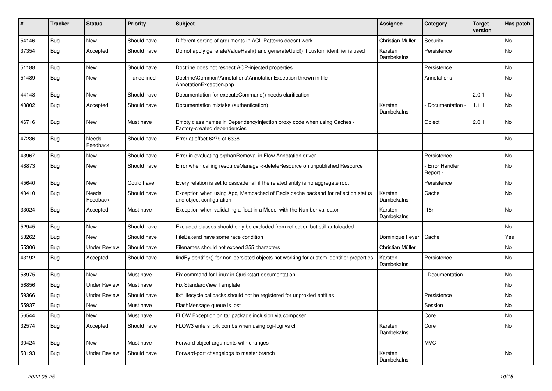| #     | <b>Tracker</b> | <b>Status</b>            | <b>Priority</b> | Subject                                                                                                      | <b>Assignee</b>              | Category                         | <b>Target</b><br>version | Has patch |
|-------|----------------|--------------------------|-----------------|--------------------------------------------------------------------------------------------------------------|------------------------------|----------------------------------|--------------------------|-----------|
| 54146 | Bug            | New                      | Should have     | Different sorting of arguments in ACL Patterns doesnt work                                                   | Christian Müller             | Security                         |                          | <b>No</b> |
| 37354 | <b>Bug</b>     | Accepted                 | Should have     | Do not apply generateValueHash() and generateUuid() if custom identifier is used                             | Karsten<br>Dambekalns        | Persistence                      |                          | <b>No</b> |
| 51188 | <b>Bug</b>     | <b>New</b>               | Should have     | Doctrine does not respect AOP-injected properties                                                            |                              | Persistence                      |                          | No        |
| 51489 | <b>Bug</b>     | New                      | -- undefined -- | Doctrine\Common\Annotations\AnnotationException thrown in file<br>AnnotationException.php                    |                              | Annotations                      |                          | <b>No</b> |
| 44148 | Bug            | <b>New</b>               | Should have     | Documentation for executeCommand() needs clarification                                                       |                              |                                  | 2.0.1                    | <b>No</b> |
| 40802 | <b>Bug</b>     | Accepted                 | Should have     | Documentation mistake (authentication)                                                                       | Karsten<br>Dambekalns        | Documentation -                  | 1.1.1                    | No        |
| 46716 | Bug            | New                      | Must have       | Empty class names in DependencyInjection proxy code when using Caches /<br>Factory-created dependencies      |                              | Object                           | 2.0.1                    | No        |
| 47236 | <b>Bug</b>     | <b>Needs</b><br>Feedback | Should have     | Error at offset 6279 of 6338                                                                                 |                              |                                  |                          | <b>No</b> |
| 43967 | Bug            | New                      | Should have     | Error in evaluating orphanRemoval in Flow Annotation driver                                                  |                              | Persistence                      |                          | No        |
| 48873 | <b>Bug</b>     | New                      | Should have     | Error when calling resourceManager->deleteResource on unpublished Resource                                   |                              | <b>Error Handler</b><br>Report - |                          | <b>No</b> |
| 45640 | Bug            | New                      | Could have      | Every relation is set to cascade=all if the related entity is no aggregate root                              |                              | Persistence                      |                          | No        |
| 40410 | <b>Bug</b>     | <b>Needs</b><br>Feedback | Should have     | Exception when using Apc, Memcached of Redis cache backend for reflection status<br>and object configuration | Karsten<br>Dambekalns        | Cache                            |                          | No        |
| 33024 | <b>Bug</b>     | Accepted                 | Must have       | Exception when validating a float in a Model with the Number validator                                       | Karsten<br>Dambekalns        | 118n                             |                          | <b>No</b> |
| 52945 | <b>Bug</b>     | <b>New</b>               | Should have     | Excluded classes should only be excluded from reflection but still autoloaded                                |                              |                                  |                          | <b>No</b> |
| 53262 | Bug            | New                      | Should have     | FileBakend have some race condition                                                                          | Dominique Feyer              | Cache                            |                          | Yes       |
| 55306 | <b>Bug</b>     | <b>Under Review</b>      | Should have     | Filenames should not exceed 255 characters                                                                   | Christian Müller             |                                  |                          | No.       |
| 43192 | <b>Bug</b>     | Accepted                 | Should have     | findByIdentifier() for non-persisted objects not working for custom identifier properties                    | Karsten<br>Dambekalns        | Persistence                      |                          | <b>No</b> |
| 58975 | <b>Bug</b>     | New                      | Must have       | Fix command for Linux in Qucikstart documentation                                                            |                              | Documentation -                  |                          | <b>No</b> |
| 56856 | <b>Bug</b>     | <b>Under Review</b>      | Must have       | Fix StandardView Template                                                                                    |                              |                                  |                          | <b>No</b> |
| 59366 | <b>Bug</b>     | <b>Under Review</b>      | Should have     | fix* lifecycle callbacks should not be registered for unproxied entities                                     |                              | Persistence                      |                          | No        |
| 55937 | <b>Bug</b>     | New                      | Must have       | FlashMessage queue is lost                                                                                   |                              | Session                          |                          | No        |
| 56544 | Bug            | New                      | Must have       | FLOW Exception on tar package inclusion via composer                                                         |                              | Core                             |                          | No        |
| 32574 | <b>Bug</b>     | Accepted                 | Should have     | FLOW3 enters fork bombs when using cgi-fcgi vs cli                                                           | Karsten<br><b>Dambekalns</b> | Core                             |                          | No        |
| 30424 | Bug            | New                      | Must have       | Forward object arguments with changes                                                                        |                              | <b>MVC</b>                       |                          |           |
| 58193 | <b>Bug</b>     | <b>Under Review</b>      | Should have     | Forward-port changelogs to master branch                                                                     | Karsten<br>Dambekalns        |                                  |                          | No        |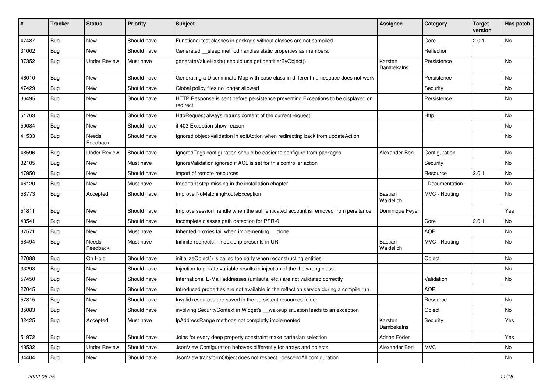| ∦     | <b>Tracker</b> | <b>Status</b>            | <b>Priority</b> | <b>Subject</b>                                                                                | <b>Assignee</b>             | Category        | <b>Target</b><br>version | Has patch |
|-------|----------------|--------------------------|-----------------|-----------------------------------------------------------------------------------------------|-----------------------------|-----------------|--------------------------|-----------|
| 47487 | Bug            | New                      | Should have     | Functional test classes in package without classes are not compiled                           |                             | Core            | 2.0.1                    | No        |
| 31002 | <b>Bug</b>     | New                      | Should have     | Generated sleep method handles static properties as members.                                  |                             | Reflection      |                          |           |
| 37352 | <b>Bug</b>     | <b>Under Review</b>      | Must have       | generateValueHash() should use getIdentifierByObject()                                        | Karsten<br>Dambekalns       | Persistence     |                          | No        |
| 46010 | Bug            | New                      | Should have     | Generating a DiscriminatorMap with base class in different namespace does not work            |                             | Persistence     |                          | No        |
| 47429 | <b>Bug</b>     | New                      | Should have     | Global policy files no longer allowed                                                         |                             | Security        |                          | No        |
| 36495 | Bug            | New                      | Should have     | HTTP Response is sent before persistence preventing Exceptions to be displayed on<br>redirect |                             | Persistence     |                          | No        |
| 51763 | <b>Bug</b>     | <b>New</b>               | Should have     | HttpRequest always returns content of the current request                                     |                             | Http            |                          | No        |
| 59084 | <b>Bug</b>     | New                      | Should have     | if 403 Exception show reason                                                                  |                             |                 |                          | No        |
| 41533 | <b>Bug</b>     | Needs<br>Feedback        | Should have     | Ignored object-validation in editAction when redirecting back from updateAction               |                             |                 |                          | No        |
| 48596 | Bug            | <b>Under Review</b>      | Should have     | Ignored Tags configuration should be easier to configure from packages                        | Alexander Berl              | Configuration   |                          | No        |
| 32105 | <b>Bug</b>     | New                      | Must have       | Ignore Validation ignored if ACL is set for this controller action                            |                             | Security        |                          | No        |
| 47950 | Bug            | New                      | Should have     | import of remote resources                                                                    |                             | Resource        | 2.0.1                    | No        |
| 46120 | <b>Bug</b>     | New                      | Must have       | Important step missing in the installation chapter                                            |                             | Documentation - |                          | No        |
| 58773 | Bug            | Accepted                 | Should have     | Improve NoMatchingRouteException                                                              | <b>Bastian</b><br>Waidelich | MVC - Routing   |                          | No        |
| 51811 | Bug            | New                      | Should have     | Improve session handle when the authenticated account is removed from persitance              | Dominique Feyer             |                 |                          | Yes       |
| 43541 | Bug            | New                      | Should have     | Incomplete classes path detection for PSR-0                                                   |                             | Core            | 2.0.1                    | <b>No</b> |
| 37571 | <b>Bug</b>     | New                      | Must have       | Inherited proxies fail when implementing clone                                                |                             | <b>AOP</b>      |                          | No        |
| 58494 | <b>Bug</b>     | <b>Needs</b><br>Feedback | Must have       | Inifinite redirects if index.php presents in URI                                              | <b>Bastian</b><br>Waidelich | MVC - Routing   |                          | No        |
| 27088 | <b>Bug</b>     | On Hold                  | Should have     | initializeObject() is called too early when reconstructing entities                           |                             | Object          |                          | No        |
| 33293 | Bug            | New                      | Should have     | Injection to private variable results in injection of the the wrong class                     |                             |                 |                          | No        |
| 57450 | <b>Bug</b>     | New                      | Should have     | International E-Mail addresses (umlauts, etc.) are not validated correctly                    |                             | Validation      |                          | No        |
| 27045 | Bug            | New                      | Should have     | Introduced properties are not available in the reflection service during a compile run        |                             | <b>AOP</b>      |                          |           |
| 57815 | Bug            | New                      | Should have     | Invalid resources are saved in the persistent resources folder                                |                             | Resource        |                          | No        |
| 35083 | Bug            | New                      | Should have     | involving SecurityContext in Widget's __wakeup situation leads to an exception                |                             | Object          |                          | No        |
| 32425 | Bug            | Accepted                 | Must have       | IpAddressRange methods not completly implemented                                              | Karsten<br>Dambekalns       | Security        |                          | Yes       |
| 51972 | Bug            | New                      | Should have     | Joins for every deep property constraint make cartesian selection                             | Adrian Föder                |                 |                          | Yes       |
| 48532 | <b>Bug</b>     | <b>Under Review</b>      | Should have     | JsonView Configuration behaves differently for arrays and objects                             | Alexander Berl              | <b>MVC</b>      |                          | No        |
| 34404 | <b>Bug</b>     | New                      | Should have     | JsonView transformObject does not respect _descendAll configuration                           |                             |                 |                          | No        |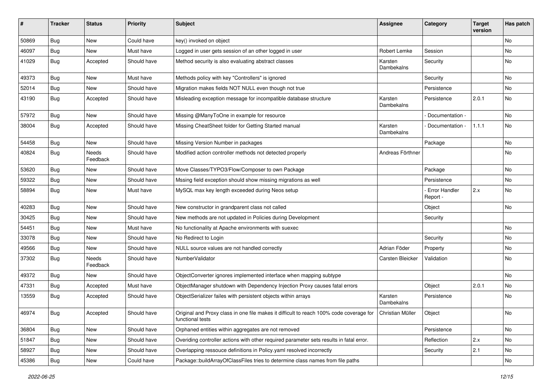| #     | <b>Tracker</b> | <b>Status</b>     | <b>Priority</b> | <b>Subject</b>                                                                                                               | <b>Assignee</b>       | Category                         | <b>Target</b><br>version | Has patch |
|-------|----------------|-------------------|-----------------|------------------------------------------------------------------------------------------------------------------------------|-----------------------|----------------------------------|--------------------------|-----------|
| 50869 | Bug            | New               | Could have      | key() invoked on object                                                                                                      |                       |                                  |                          | No        |
| 46097 | <b>Bug</b>     | New               | Must have       | Logged in user gets session of an other logged in user                                                                       | Robert Lemke          | Session                          |                          | No        |
| 41029 | Bug            | Accepted          | Should have     | Method security is also evaluating abstract classes                                                                          | Karsten<br>Dambekalns | Security                         |                          | No        |
| 49373 | <b>Bug</b>     | New               | Must have       | Methods policy with key "Controllers" is ignored                                                                             |                       | Security                         |                          | No        |
| 52014 | <b>Bug</b>     | New               | Should have     | Migration makes fields NOT NULL even though not true                                                                         |                       | Persistence                      |                          | <b>No</b> |
| 43190 | <b>Bug</b>     | Accepted          | Should have     | Misleading exception message for incompatible database structure                                                             | Karsten<br>Dambekalns | Persistence                      | 2.0.1                    | No        |
| 57972 | <b>Bug</b>     | New               | Should have     | Missing @ManyToOne in example for resource                                                                                   |                       | Documentation -                  |                          | <b>No</b> |
| 38004 | <b>Bug</b>     | Accepted          | Should have     | Missing CheatSheet folder for Getting Started manual                                                                         | Karsten<br>Dambekalns | Documentation -                  | 1.1.1                    | No        |
| 54458 | Bug            | <b>New</b>        | Should have     | Missing Version Number in packages                                                                                           |                       | Package                          |                          | No        |
| 40824 | <b>Bug</b>     | Needs<br>Feedback | Should have     | Modified action controller methods not detected properly                                                                     | Andreas Förthner      |                                  |                          | No        |
| 53620 | <b>Bug</b>     | New               | Should have     | Move Classes/TYPO3/Flow/Composer to own Package                                                                              |                       | Package                          |                          | No        |
| 59322 | Bug            | New               | Should have     | Mssing field exception should show missing migrations as well                                                                |                       | Persistence                      |                          | No        |
| 58894 | <b>Bug</b>     | New               | Must have       | MySQL max key length exceeded during Neos setup                                                                              |                       | <b>Error Handler</b><br>Report - | 2.x                      | No        |
| 40283 | <b>Bug</b>     | New               | Should have     | New constructor in grandparent class not called                                                                              |                       | Object                           |                          | No        |
| 30425 | <b>Bug</b>     | New               | Should have     | New methods are not updated in Policies during Development                                                                   |                       | Security                         |                          |           |
| 54451 | <b>Bug</b>     | New               | Must have       | No functionality at Apache environments with suexec                                                                          |                       |                                  |                          | No        |
| 33078 | Bug            | New               | Should have     | No Redirect to Login                                                                                                         |                       | Security                         |                          | No        |
| 49566 | <b>Bug</b>     | New               | Should have     | NULL source values are not handled correctly                                                                                 | Adrian Föder          | Property                         |                          | No        |
| 37302 | <b>Bug</b>     | Needs<br>Feedback | Should have     | NumberValidator                                                                                                              | Carsten Bleicker      | Validation                       |                          | No        |
| 49372 | <b>Bug</b>     | New               | Should have     | ObjectConverter ignores implemented interface when mapping subtype                                                           |                       |                                  |                          | No        |
| 47331 | <b>Bug</b>     | Accepted          | Must have       | ObjectManager shutdown with Dependency Injection Proxy causes fatal errors                                                   |                       | Object                           | 2.0.1                    | No        |
| 13559 | Bug            | Accepted          | Should have     | ObjectSerializer failes with persistent objects within arrays                                                                | Karsten<br>Dambekalns | Persistence                      |                          | No        |
| 46974 | <b>Bug</b>     | Accepted          | Should have     | Original and Proxy class in one file makes it difficult to reach 100% code coverage for Christian Müller<br>functional tests |                       | Object                           |                          | No        |
| 36804 | <b>Bug</b>     | New               | Should have     | Orphaned entities within aggregates are not removed                                                                          |                       | Persistence                      |                          | No        |
| 51847 | Bug            | New               | Should have     | Overiding controller actions with other required parameter sets results in fatal error.                                      |                       | Reflection                       | 2.x                      | No        |
| 58927 | <b>Bug</b>     | New               | Should have     | Overlapping ressouce definitions in Policy yaml resolved incorrectly                                                         |                       | Security                         | 2.1                      | No        |
| 45386 | <b>Bug</b>     | New               | Could have      | Package::buildArrayOfClassFiles tries to determine class names from file paths                                               |                       |                                  |                          | No        |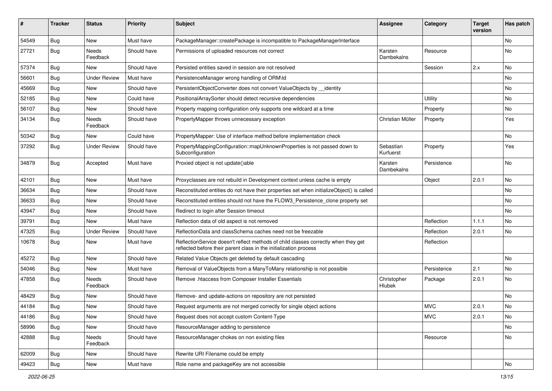| ∦     | <b>Tracker</b> | <b>Status</b>            | <b>Priority</b> | <b>Subject</b>                                                                                                                                          | <b>Assignee</b>        | Category    | <b>Target</b><br>version | Has patch |
|-------|----------------|--------------------------|-----------------|---------------------------------------------------------------------------------------------------------------------------------------------------------|------------------------|-------------|--------------------------|-----------|
| 54549 | Bug            | New                      | Must have       | PackageManager::createPackage is incompatible to PackageManagerInterface                                                                                |                        |             |                          | <b>No</b> |
| 27721 | <b>Bug</b>     | Needs<br>Feedback        | Should have     | Permissions of uploaded resources not correct                                                                                                           | Karsten<br>Dambekalns  | Resource    |                          | No        |
| 57374 | Bug            | <b>New</b>               | Should have     | Persisted entities saved in session are not resolved                                                                                                    |                        | Session     | 2.x                      | No        |
| 56601 | Bug            | <b>Under Review</b>      | Must have       | PersistenceManager wrong handling of ORM\ld                                                                                                             |                        |             |                          | <b>No</b> |
| 45669 | Bug            | <b>New</b>               | Should have     | PersistentObjectConverter does not convert ValueObjects by _identity                                                                                    |                        |             |                          | <b>No</b> |
| 52185 | Bug            | New                      | Could have      | PositionalArraySorter should detect recursive dependencies                                                                                              |                        | Utility     |                          | No        |
| 56107 | <b>Bug</b>     | New                      | Should have     | Property mapping configuration only supports one wildcard at a time                                                                                     |                        | Property    |                          | No        |
| 34134 | Bug            | <b>Needs</b><br>Feedback | Should have     | PropertyMapper throws unnecessary exception                                                                                                             | Christian Müller       | Property    |                          | Yes       |
| 50342 | <b>Bug</b>     | New                      | Could have      | PropertyMapper: Use of interface method before implementation check                                                                                     |                        |             |                          | <b>No</b> |
| 37292 | Bug            | <b>Under Review</b>      | Should have     | PropertyMappingConfiguration::mapUnknownProperties is not passed down to<br>Subconfiguration                                                            | Sebastian<br>Kurfuerst | Property    |                          | Yes       |
| 34879 | Bug            | Accepted                 | Must have       | Proxied object is not update()able                                                                                                                      | Karsten<br>Dambekalns  | Persistence |                          | No        |
| 42101 | Bug            | New                      | Must have       | Proxyclasses are not rebuild in Development context unless cache is empty                                                                               |                        | Object      | 2.0.1                    | No        |
| 36634 | Bug            | <b>New</b>               | Should have     | Reconstituted entities do not have their properties set when initializeObject() is called                                                               |                        |             |                          | <b>No</b> |
| 36633 | Bug            | New                      | Should have     | Reconstituted entities should not have the FLOW3 Persistence clone property set                                                                         |                        |             |                          | No        |
| 43947 | <b>Bug</b>     | New                      | Should have     | Redirect to login after Session timeout                                                                                                                 |                        |             |                          | No        |
| 39791 | Bug            | <b>New</b>               | Must have       | Reflection data of old aspect is not removed                                                                                                            |                        | Reflection  | 1.1.1                    | <b>No</b> |
| 47325 | <b>Bug</b>     | <b>Under Review</b>      | Should have     | ReflectionData and classSchema caches need not be freezable                                                                                             |                        | Reflection  | 2.0.1                    | No        |
| 10678 | Bug            | New                      | Must have       | ReflectionService doesn't reflect methods of child classes correctly when they get<br>reflected before their parent class in the initialization process |                        | Reflection  |                          |           |
| 45272 | Bug            | <b>New</b>               | Should have     | Related Value Objects get deleted by default cascading                                                                                                  |                        |             |                          | <b>No</b> |
| 54046 | Bug            | New                      | Must have       | Removal of ValueObjects from a ManyToMany relationship is not possible                                                                                  |                        | Persistence | 2.1                      | <b>No</b> |
| 47858 | <b>Bug</b>     | Needs<br>Feedback        | Should have     | Remove .htaccess from Composer Installer Essentials                                                                                                     | Christopher<br>Hlubek  | Package     | 2.0.1                    | <b>No</b> |
| 48429 | Bug            | New                      | Should have     | Remove- and update-actions on repository are not persisted                                                                                              |                        |             |                          | <b>No</b> |
| 44184 | Bug            | New                      | Should have     | Request arguments are not merged correctly for single object actions                                                                                    |                        | <b>MVC</b>  | 2.0.1                    | No        |
| 44186 | <b>Bug</b>     | New                      | Should have     | Request does not accept custom Content-Type                                                                                                             |                        | <b>MVC</b>  | 2.0.1                    | No        |
| 58996 | <b>Bug</b>     | New                      | Should have     | ResourceManager adding to persistence                                                                                                                   |                        |             |                          | No        |
| 42888 | Bug            | Needs<br>Feedback        | Should have     | ResourceManager chokes on non existing files                                                                                                            |                        | Resource    |                          | No        |
| 62009 | Bug            | New                      | Should have     | Rewrite URI Filename could be empty                                                                                                                     |                        |             |                          |           |
| 49423 | <b>Bug</b>     | New                      | Must have       | Role name and packageKey are not accessible                                                                                                             |                        |             |                          | No        |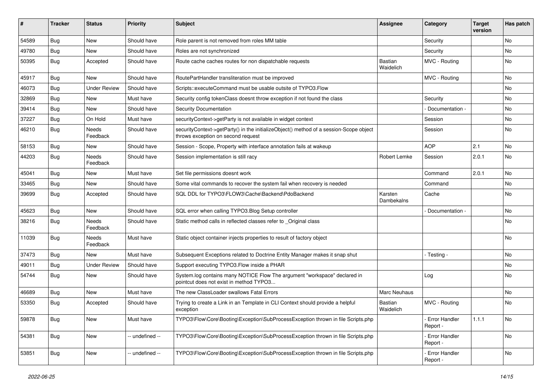| ∦     | <b>Tracker</b> | <b>Status</b>            | <b>Priority</b> | Subject                                                                                                                      | <b>Assignee</b>       | Category                         | <b>Target</b><br>version | Has patch |
|-------|----------------|--------------------------|-----------------|------------------------------------------------------------------------------------------------------------------------------|-----------------------|----------------------------------|--------------------------|-----------|
| 54589 | Bug            | New                      | Should have     | Role parent is not removed from roles MM table                                                                               |                       | Security                         |                          | <b>No</b> |
| 49780 | Bug            | <b>New</b>               | Should have     | Roles are not synchronized                                                                                                   |                       | Security                         |                          | No        |
| 50395 | Bug            | Accepted                 | Should have     | Route cache caches routes for non dispatchable requests                                                                      | Bastian<br>Waidelich  | MVC - Routing                    |                          | No        |
| 45917 | Bug            | <b>New</b>               | Should have     | RoutePartHandler transliteration must be improved                                                                            |                       | MVC - Routing                    |                          | <b>No</b> |
| 46073 | Bug            | <b>Under Review</b>      | Should have     | Scripts::executeCommand must be usable outsite of TYPO3.Flow                                                                 |                       |                                  |                          | No        |
| 32869 | Bug            | New                      | Must have       | Security config tokenClass doesnt throw exception if not found the class                                                     |                       | Security                         |                          | No        |
| 39414 | Bug            | <b>New</b>               | Should have     | <b>Security Documentation</b>                                                                                                |                       | Documentation -                  |                          | No        |
| 37227 | Bug            | On Hold                  | Must have       | securityContext->getParty is not available in widget context                                                                 |                       | Session                          |                          | No        |
| 46210 | Bug            | Needs<br>Feedback        | Should have     | securityContext->getParty() in the initializeObject() method of a session-Scope object<br>throws exception on second request |                       | Session                          |                          | <b>No</b> |
| 58153 | Bug            | <b>New</b>               | Should have     | Session - Scope, Property with interface annotation fails at wakeup                                                          |                       | <b>AOP</b>                       | 2.1                      | <b>No</b> |
| 44203 | <b>Bug</b>     | Needs<br>Feedback        | Should have     | Session implementation is still racy                                                                                         | Robert Lemke          | Session                          | 2.0.1                    | No        |
| 45041 | Bug            | New                      | Must have       | Set file permissions doesnt work                                                                                             |                       | Command                          | 2.0.1                    | <b>No</b> |
| 33465 | <b>Bug</b>     | New                      | Should have     | Some vital commands to recover the system fail when recovery is needed                                                       |                       | Command                          |                          | No        |
| 39699 | Bug            | Accepted                 | Should have     | SQL DDL for TYPO3\FLOW3\Cache\Backend\PdoBackend                                                                             | Karsten<br>Dambekalns | Cache                            |                          | No        |
| 45623 | Bug            | New                      | Should have     | SQL error when calling TYPO3.Blog Setup controller                                                                           |                       | Documentation -                  |                          | No        |
| 38216 | Bug            | <b>Needs</b><br>Feedback | Should have     | Static method calls in reflected classes refer to _Original class                                                            |                       |                                  |                          | No        |
| 11039 | <b>Bug</b>     | <b>Needs</b><br>Feedback | Must have       | Static object container injects properties to result of factory object                                                       |                       |                                  |                          | No        |
| 37473 | Bug            | New                      | Must have       | Subsequent Exceptions related to Doctrine Entity Manager makes it snap shut                                                  |                       | - Testing -                      |                          | No        |
| 49011 | Bug            | <b>Under Review</b>      | Should have     | Support executing TYPO3. Flow inside a PHAR                                                                                  |                       |                                  |                          | No        |
| 54744 | Bug            | New                      | Should have     | System.log contains many NOTICE Flow The argument "workspace" declared in<br>pointcut does not exist in method TYPO3         |                       | Log                              |                          | No        |
| 46689 | Bug            | New                      | Must have       | The new ClassLoader swallows Fatal Errors                                                                                    | Marc Neuhaus          |                                  |                          | No        |
| 53350 | Bug            | Accepted                 | Should have     | Trying to create a Link in an Template in CLI Context should provide a helpful<br>exception                                  | Bastian<br>Waidelich  | MVC - Routing                    |                          | <b>No</b> |
| 59878 | <b>Bug</b>     | New                      | Must have       | TYPO3\Flow\Core\Booting\Exception\SubProcessException thrown in file Scripts.php                                             |                       | <b>Error Handler</b><br>Report - | 1.1.1                    | No        |
| 54381 | <b>Bug</b>     | New                      | -- undefined -- | TYPO3\Flow\Core\Booting\Exception\SubProcessException thrown in file Scripts.php                                             |                       | Error Handler<br>Report -        |                          | No        |
| 53851 | <b>Bug</b>     | New                      | - undefined --  | TYPO3\Flow\Core\Booting\Exception\SubProcessException thrown in file Scripts.php                                             |                       | Error Handler<br>Report -        |                          | No        |